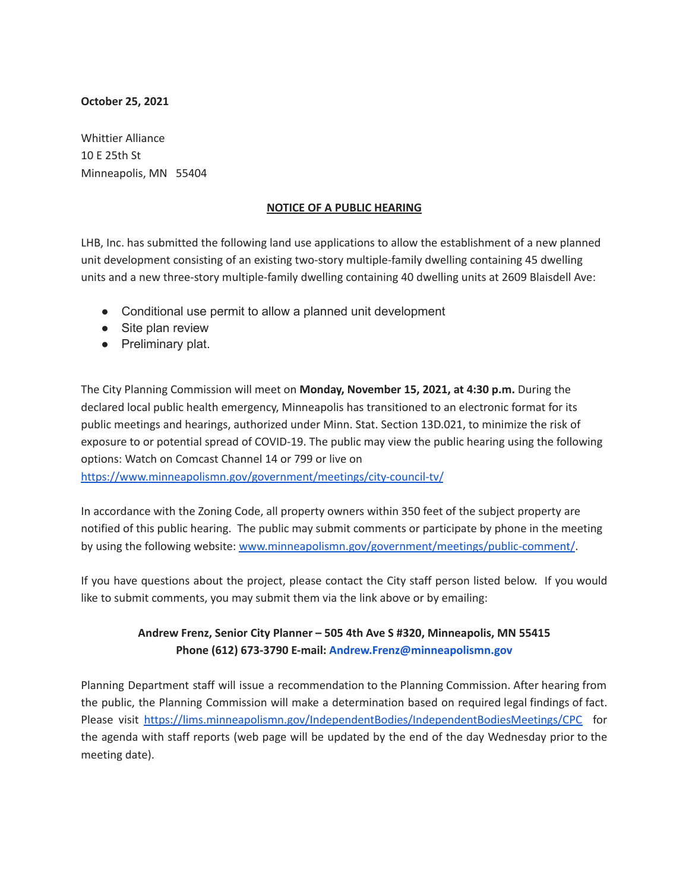## **October 25, 2021**

Whittier Alliance 10 E 25th St Minneapolis, MN 55404

## **NOTICE OF A PUBLIC HEARING**

LHB, Inc. has submitted the following land use applications to allow the establishment of a new planned unit development consisting of an existing two-story multiple-family dwelling containing 45 dwelling units and a new three-story multiple-family dwelling containing 40 dwelling units at 2609 Blaisdell Ave:

- Conditional use permit to allow a planned unit development
- Site plan review
- Preliminary plat.

The City Planning Commission will meet on **Monday, November 15, 2021, at 4:30 p.m.** During the declared local public health emergency, Minneapolis has transitioned to an electronic format for its public meetings and hearings, authorized under Minn. Stat. Section 13D.021, to minimize the risk of exposure to or potential spread of COVID-19. The public may view the public hearing using the following options: Watch on Comcast Channel 14 or 799 or live on

<https://www.minneapolismn.gov/government/meetings/city-council-tv/>

In accordance with the Zoning Code, all property owners within 350 feet of the subject property are notified of this public hearing. The public may submit comments or participate by phone in the meeting by using the following website: [www.minneapolismn.gov/government/meetings/public-comment/](http://www.minneapolismn.gov/government/meetings/public-comment/).

If you have questions about the project, please contact the City staff person listed below. If you would like to submit comments, you may submit them via the link above or by emailing:

## **Andrew Frenz, Senior City Planner – 505 4th Ave S #320, Minneapolis, MN 55415 Phone (612) 673-3790 E-mail: Andrew.Frenz@minneapolismn.gov**

Planning Department staff will issue a recommendation to the Planning Commission. After hearing from the public, the Planning Commission will make a determination based on required legal findings of fact. Please visit <https://lims.minneapolismn.gov/IndependentBodies/IndependentBodiesMeetings/CPC> for the agenda with staff reports (web page will be updated by the end of the day Wednesday prior to the meeting date).